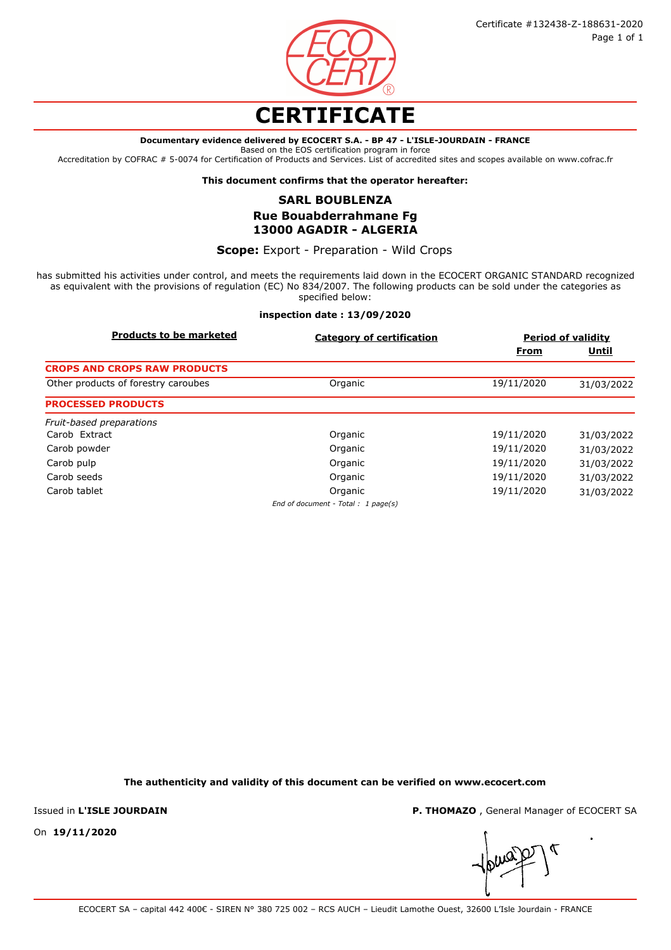

## **CERTIFICATE**

#### **Documentary evidence delivered by ECOCERT S.A. - BP 47 - L'ISLE-JOURDAIN - FRANCE**

Based on the EOS certification program in force

Accreditation by COFRAC # 5-0074 for Certification of Products and Services. List of accredited sites and scopes available on www.cofrac.fr

**This document confirms that the operator hereafter:**

## **SARL BOUBLENZA Rue Bouabderrahmane Fg 13000 AGADIR - ALGERIA**

**Scope:** Export - Preparation - Wild Crops

has submitted his activities under control, and meets the requirements laid down in the ECOCERT ORGANIC STANDARD recognized as equivalent with the provisions of regulation (EC) No 834/2007. The following products can be sold under the categories as specified below:

## **inspection date : 13/09/2020**

| <b>Products to be marketed</b>      | <b>Category of certification</b>    | <b>Period of validity</b> |              |
|-------------------------------------|-------------------------------------|---------------------------|--------------|
|                                     |                                     | From                      | <u>Until</u> |
| <b>CROPS AND CROPS RAW PRODUCTS</b> |                                     |                           |              |
| Other products of forestry caroubes | Organic                             | 19/11/2020                | 31/03/2022   |
| <b>PROCESSED PRODUCTS</b>           |                                     |                           |              |
| Fruit-based preparations            |                                     |                           |              |
| Carob Extract                       | Organic                             | 19/11/2020                | 31/03/2022   |
| Carob powder                        | Organic                             | 19/11/2020                | 31/03/2022   |
| Carob pulp                          | Organic                             | 19/11/2020                | 31/03/2022   |
| Carob seeds                         | Organic                             | 19/11/2020                | 31/03/2022   |
| Carob tablet                        | Organic                             | 19/11/2020                | 31/03/2022   |
|                                     | End of document - Total : 1 page(s) |                           |              |

**The authenticity and validity of this document can be verified on www.ecocert.com**

Issued in **L'ISLE JOURDAIN**

**P. THOMAZO** , General Manager of ECOCERT SA

On **19/11/2020**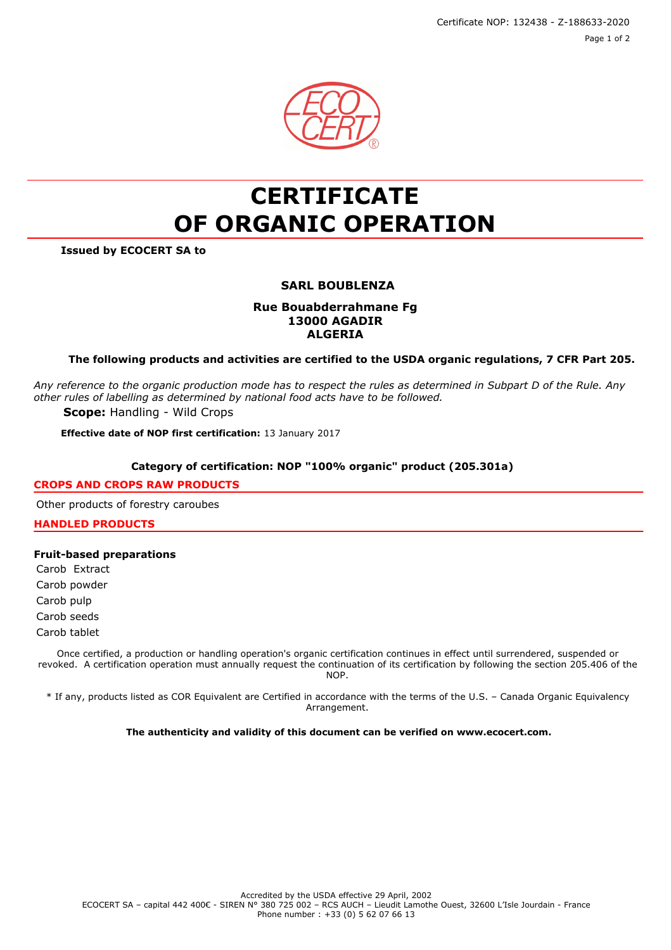Certificate NOP: 132438 - Z-188633-2020 Page 1 of 2



# **CERTIFICATE OF ORGANIC OPERATION**

**Issued by ECOCERT SA to**

## **SARL BOUBLENZA**

## **Rue Bouabderrahmane Fg 13000 AGADIR ALGERIA**

**The following products and activities are certified to the USDA organic regulations, 7 CFR Part 205.**

*Any reference to the organic production mode has to respect the rules as determined in Subpart D of the Rule. Any other rules of labelling as determined by national food acts have to be followed.*

**Scope:** Handling - Wild Crops

**Effective date of NOP first certification:** 13 January 2017

### **Category of certification: NOP "100% organic" product (205.301a)**

#### **CROPS AND CROPS RAW PRODUCTS**

Other products of forestry caroubes

**HANDLED PRODUCTS**

## **Fruit-based preparations**

Carob Extract

Carob powder

Carob pulp

Carob seeds

Carob tablet

Once certified, a production or handling operation's organic certification continues in effect until surrendered, suspended or revoked. A certification operation must annually request the continuation of its certification by following the section 205.406 of the NOP.

\* If any, products listed as COR Equivalent are Certified in accordance with the terms of the U.S. – Canada Organic Equivalency Arrangement.

**The authenticity and validity of this document can be verified on www.ecocert.com.**